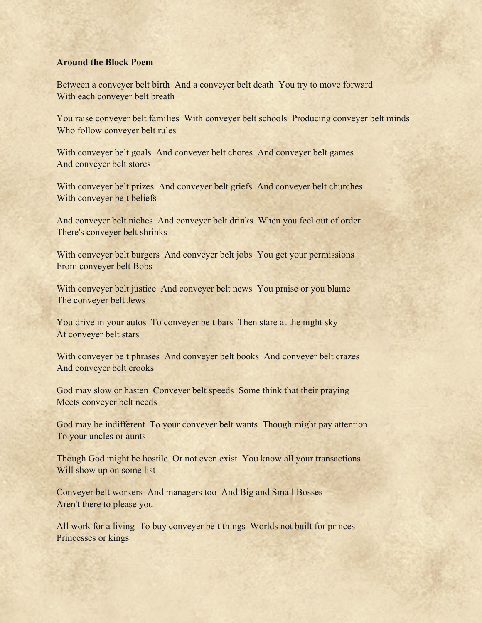## **Around the Block Poem**

Between a conveyer belt birth And a conveyer belt death You try to move forward With each conveyer belt breath

You raise conveyer belt families With conveyer belt schools Producing conveyer belt minds Who follow conveyer belt rules

With conveyer belt goals And conveyer belt chores And conveyer belt games And conveyer belt stores

With conveyer belt prizes And conveyer belt griefs And conveyer belt churches With conveyer belt beliefs

And conveyer belt niches And conveyer belt drinks When you feel out of order There's conveyer belt shrinks

With conveyer belt burgers And conveyer belt jobs You get your permissions From conveyer belt Bobs

With conveyer belt justice And conveyer belt news You praise or you blame The conveyer belt Jews

You drive in your autos To conveyer belt bars Then stare at the night sky At conveyer belt stars

With conveyer belt phrases And conveyer belt books And conveyer belt crazes And conveyer belt crooks

God may slow or hasten Conveyer belt speeds Some think that their praying Meets conveyer belt needs

God may be indifferent To your conveyer belt wants Though might pay attention To your uncles or aunts

Though God might be hostile Or not even exist You know all your transactions Will show up on some list

Conveyer belt workers And managers too And Big and Small Bosses Aren't there to please you

All work for a living To buy conveyer belt things Worlds not built for princes Princesses or kings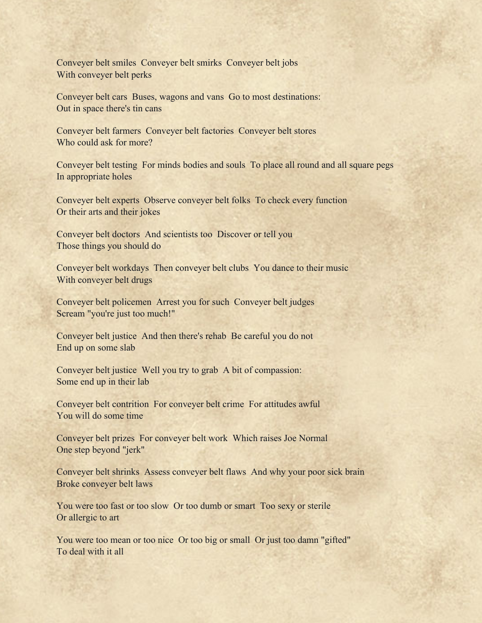Conveyer belt smiles Conveyer belt smirks Conveyer belt jobs With conveyer belt perks

Conveyer belt cars Buses, wagons and vans Go to most destinations: Out in space there's tin cans

Conveyer belt farmers Conveyer belt factories Conveyer belt stores Who could ask for more?

Conveyer belt testing For minds bodies and souls To place all round and all square pegs In appropriate holes

Conveyer belt experts Observe conveyer belt folks To check every function Or their arts and their jokes

Conveyer belt doctors And scientists too Discover or tell you Those things you should do

Conveyer belt workdays Then conveyer belt clubs You dance to their music With conveyer belt drugs

Conveyer belt policemen Arrest you for such Conveyer belt judges Scream "you're just too much!"

Conveyer belt justice And then there's rehab Be careful you do not End up on some slab

Conveyer belt justice Well you try to grab A bit of compassion: Some end up in their lab

Conveyer belt contrition For conveyer belt crime For attitudes awful You will do some time

Conveyer belt prizes For conveyer belt work Which raises Joe Normal One step beyond "jerk"

Conveyer belt shrinks Assess conveyer belt flaws And why your poor sick brain Broke conveyer belt laws

You were too fast or too slow Or too dumb or smart Too sexy or sterile Or allergic to art

You were too mean or too nice Or too big or small Or just too damn "gifted" To deal with it all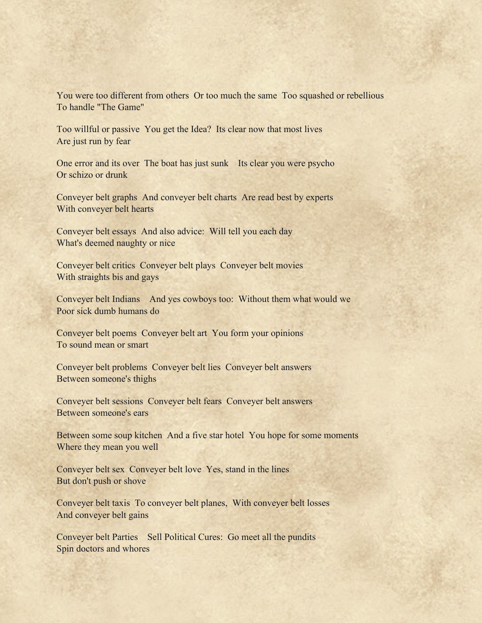You were too different from others Or too much the same Too squashed or rebellious To handle "The Game"

Too willful or passive You get the Idea? Its clear now that most lives Are just run by fear

One error and its over The boat has just sunk Its clear you were psycho Or schizo or drunk

Conveyer belt graphs And conveyer belt charts Are read best by experts With conveyer belt hearts

Conveyer belt essays And also advice: Will tell you each day What's deemed naughty or nice

Conveyer belt critics Conveyer belt plays Conveyer belt movies With straights bis and gays

Conveyer belt Indians And yes cowboys too: Without them what would we Poor sick dumb humans do

Conveyer belt poems Conveyer belt art You form your opinions To sound mean or smart

Conveyer belt problems Conveyer belt lies Conveyer belt answers Between someone's thighs

Conveyer belt sessions Conveyer belt fears Conveyer belt answers Between someone's ears

Between some soup kitchen And a five star hotel You hope for some moments Where they mean you well

Conveyer belt sex Conveyer belt love Yes, stand in the lines But don't push or shove

Conveyer belt taxis To conveyer belt planes, With conveyer belt losses And conveyer belt gains

Conveyer belt Parties Sell Political Cures: Go meet all the pundits Spin doctors and whores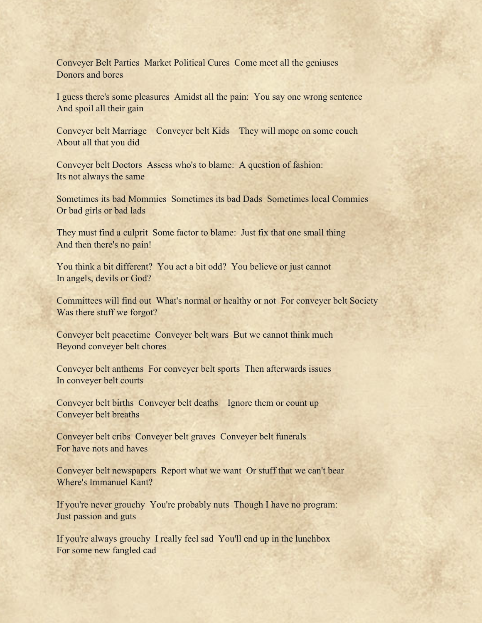Conveyer Belt Parties Market Political Cures Come meet all the geniuses Donors and bores

I guess there's some pleasures Amidst all the pain: You say one wrong sentence And spoil all their gain

Conveyer belt Marriage Conveyer belt Kids They will mope on some couch About all that you did

Conveyer belt Doctors Assess who's to blame: A question of fashion: Its not always the same

Sometimes its bad Mommies Sometimes its bad Dads Sometimes local Commies Or bad girls or bad lads

They must find a culprit Some factor to blame: Just fix that one small thing And then there's no pain!

You think a bit different? You act a bit odd? You believe or just cannot In angels, devils or God?

Committees will find out What's normal or healthy or not For conveyer belt Society Was there stuff we forgot?

Conveyer belt peacetime Conveyer belt wars But we cannot think much Beyond conveyer belt chores

Conveyer belt anthems For conveyer belt sports Then afterwards issues In conveyer belt courts

Conveyer belt births Conveyer belt deaths Ignore them or count up Conveyer belt breaths

Conveyer belt cribs Conveyer belt graves Conveyer belt funerals For have nots and haves

Conveyer belt newspapers Report what we want Or stuff that we can't bear Where's Immanuel Kant?

If you're never grouchy You're probably nuts Though I have no program: Just passion and guts

If you're always grouchy I really feel sad You'll end up in the lunchbox For some new fangled cad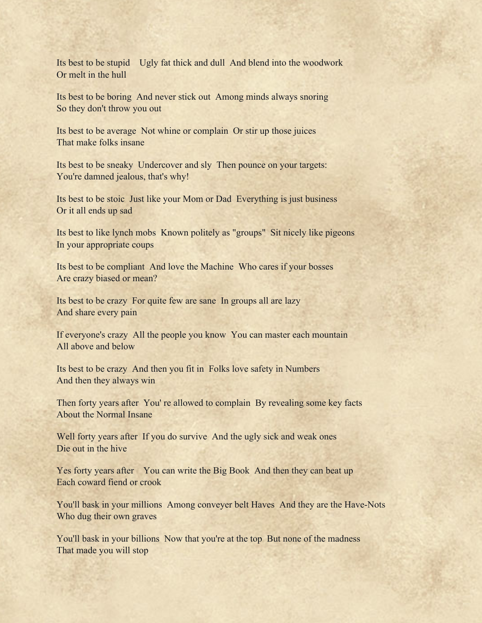Its best to be stupid Ugly fat thick and dull And blend into the woodwork Or melt in the hull

Its best to be boring And never stick out Among minds always snoring So they don't throw you out

Its best to be average Not whine or complain Or stir up those juices That make folks insane

Its best to be sneaky Undercover and sly Then pounce on your targets: You're damned jealous, that's why!

Its best to be stoic Just like your Mom or Dad Everything is just business Or it all ends up sad

Its best to like lynch mobs Known politely as "groups" Sit nicely like pigeons In your appropriate coups

Its best to be compliant And love the Machine Who cares if your bosses Are crazy biased or mean?

Its best to be crazy For quite few are sane In groups all are lazy And share every pain

If everyone's crazy All the people you know You can master each mountain All above and below

Its best to be crazy And then you fit in Folks love safety in Numbers And then they always win

Then forty years after You' re allowed to complain By revealing some key facts About the Normal Insane

Well forty years after If you do survive And the ugly sick and weak ones Die out in the hive

Yes forty years after You can write the Big Book And then they can beat up Each coward fiend or crook

You'll bask in your millions Among conveyer belt Haves And they are the Have-Nots Who dug their own graves

You'll bask in your billions Now that you're at the top But none of the madness That made you will stop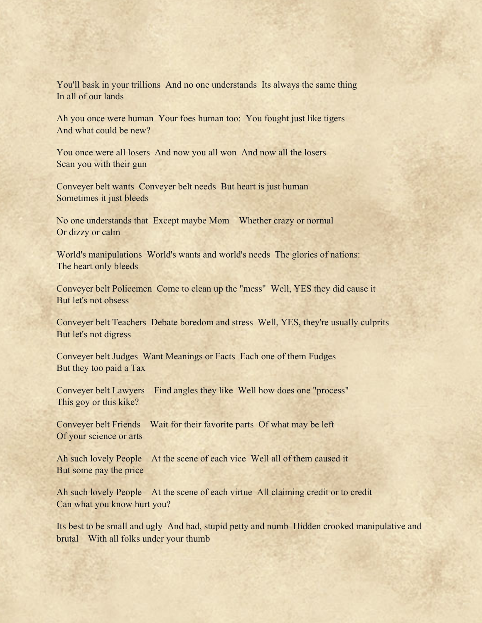You'll bask in your trillions And no one understands Its always the same thing In all of our lands

Ah you once were human Your foes human too: You fought just like tigers And what could be new?

You once were all losers And now you all won And now all the losers Scan you with their gun

Conveyer belt wants Conveyer belt needs But heart is just human Sometimes it just bleeds

No one understands that Except maybe Mom Whether crazy or normal Or dizzy or calm

World's manipulations World's wants and world's needs The glories of nations: The heart only bleeds

Conveyer belt Policemen Come to clean up the "mess" Well, YES they did cause it But let's not obsess

Conveyer belt Teachers Debate boredom and stress Well, YES, they're usually culprits But let's not digress

Conveyer belt Judges Want Meanings or Facts Each one of them Fudges But they too paid a Tax

Conveyer belt Lawyers Find angles they like Well how does one "process" This goy or this kike?

Conveyer belt Friends Wait for their favorite parts Of what may be left Of your science or arts

Ah such lovely People At the scene of each vice Well all of them caused it But some pay the price

Ah such lovely People At the scene of each virtue All claiming credit or to credit Can what you know hurt you?

Its best to be small and ugly And bad, stupid petty and numb Hidden crooked manipulative and brutal With all folks under your thumb